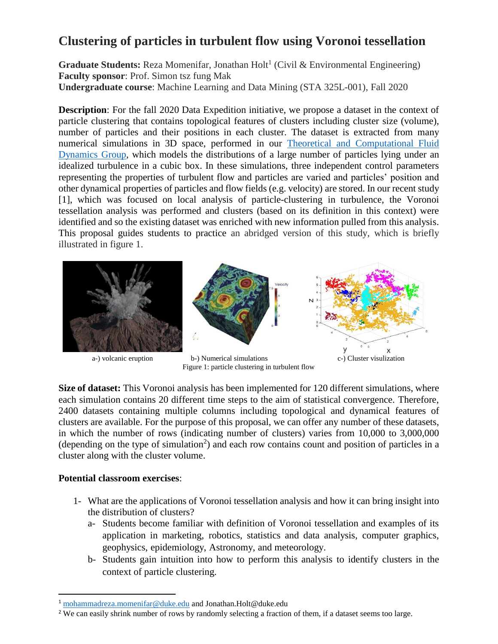## **Clustering of particles in turbulent flow using Voronoi tessellation**

Graduate Students: Reza Momenifar, Jonathan Holt<sup>1</sup> (Civil & Environmental Engineering) **Faculty sponsor**: Prof. Simon tsz fung Mak **Undergraduate course**: Machine Learning and Data Mining (STA 325L-001), Fall 2020

**Description**: For the fall 2020 Data Expedition initiative, we propose a dataset in the context of particle clustering that contains topological features of clusters including cluster size (volume), number of particles and their positions in each cluster. The dataset is extracted from many numerical simulations in 3D space, performed in our [Theoretical and Computational Fluid](http://bragg.pratt.duke.edu/)  [Dynamics Group,](http://bragg.pratt.duke.edu/) which models the distributions of a large number of particles lying under an idealized turbulence in a cubic box. In these simulations, three independent control parameters representing the properties of turbulent flow and particles are varied and particles' position and other dynamical properties of particles and flow fields (e.g. velocity) are stored. In our recent study [1], which was focused on local analysis of particle-clustering in turbulence, the Voronoi tessellation analysis was performed and clusters (based on its definition in this context) were identified and so the existing dataset was enriched with new information pulled from this analysis. This proposal guides students to practice an abridged version of this study, which is briefly illustrated in figure 1.



Figure 1: particle clustering in turbulent flow

**Size of dataset:** This Voronoi analysis has been implemented for 120 different simulations, where each simulation contains 20 different time steps to the aim of statistical convergence. Therefore, 2400 datasets containing multiple columns including topological and dynamical features of clusters are available. For the purpose of this proposal, we can offer any number of these datasets, in which the number of rows (indicating number of clusters) varies from 10,000 to 3,000,000 (depending on the type of simulation<sup>2</sup>) and each row contains count and position of particles in a cluster along with the cluster volume.

## **Potential classroom exercises**:

 $\overline{\phantom{a}}$ 

- 1- What are the applications of Voronoi tessellation analysis and how it can bring insight into the distribution of clusters?
	- a- Students become familiar with definition of Voronoi tessellation and examples of its application in marketing, robotics, statistics and data analysis, computer graphics, geophysics, epidemiology, Astronomy, and meteorology.
	- b- Students gain intuition into how to perform this analysis to identify clusters in the context of particle clustering.

<sup>1</sup> [mohammadreza.momenifar@duke.edu](mailto:mohammadreza.momenifar@duke.edu) and Jonathan.Holt@duke.edu

<sup>&</sup>lt;sup>2</sup> We can easily shrink number of rows by randomly selecting a fraction of them, if a dataset seems too large.